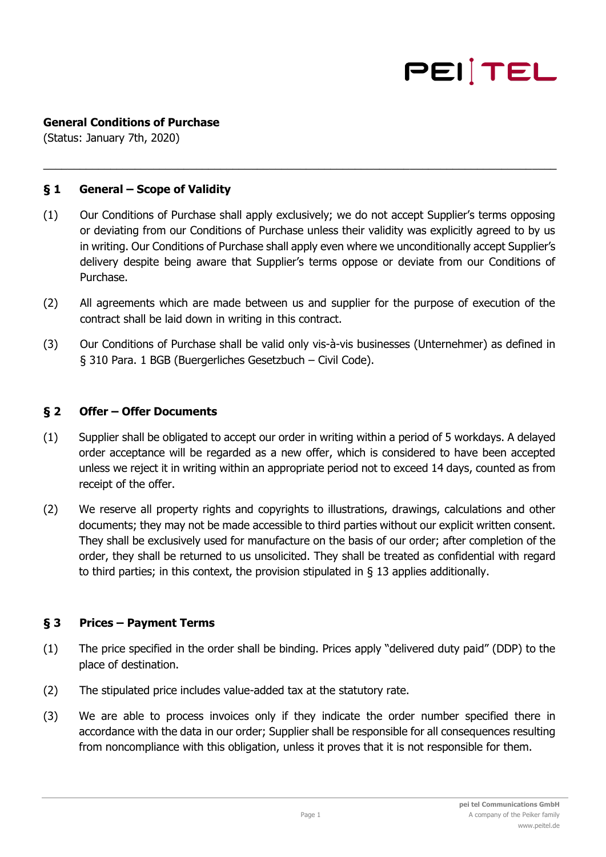

## **General Conditions of Purchase**

(Status: January 7th, 2020)

### **§ 1 General – Scope of Validity**

(1) Our Conditions of Purchase shall apply exclusively; we do not accept Supplier's terms opposing or deviating from our Conditions of Purchase unless their validity was explicitly agreed to by us in writing. Our Conditions of Purchase shall apply even where we unconditionally accept Supplier's delivery despite being aware that Supplier's terms oppose or deviate from our Conditions of Purchase.

 $\_$  , and the set of the set of the set of the set of the set of the set of the set of the set of the set of the set of the set of the set of the set of the set of the set of the set of the set of the set of the set of th

- (2) All agreements which are made between us and supplier for the purpose of execution of the contract shall be laid down in writing in this contract.
- (3) Our Conditions of Purchase shall be valid only vis-à-vis businesses (Unternehmer) as defined in § 310 Para. 1 BGB (Buergerliches Gesetzbuch – Civil Code).

#### **§ 2 Offer – Offer Documents**

- (1) Supplier shall be obligated to accept our order in writing within a period of 5 workdays. A delayed order acceptance will be regarded as a new offer, which is considered to have been accepted unless we reject it in writing within an appropriate period not to exceed 14 days, counted as from receipt of the offer.
- (2) We reserve all property rights and copyrights to illustrations, drawings, calculations and other documents; they may not be made accessible to third parties without our explicit written consent. They shall be exclusively used for manufacture on the basis of our order; after completion of the order, they shall be returned to us unsolicited. They shall be treated as confidential with regard to third parties; in this context, the provision stipulated in § 13 applies additionally.

### **§ 3 Prices – Payment Terms**

- (1) The price specified in the order shall be binding. Prices apply "delivered duty paid" (DDP) to the place of destination.
- (2) The stipulated price includes value-added tax at the statutory rate.
- (3) We are able to process invoices only if they indicate the order number specified there in accordance with the data in our order; Supplier shall be responsible for all consequences resulting from noncompliance with this obligation, unless it proves that it is not responsible for them.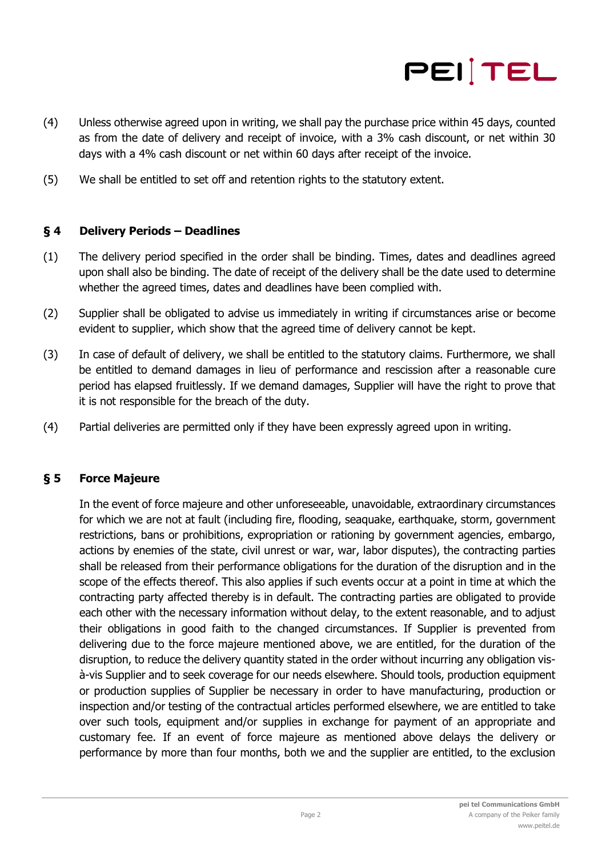

- (4) Unless otherwise agreed upon in writing, we shall pay the purchase price within 45 days, counted as from the date of delivery and receipt of invoice, with a 3% cash discount, or net within 30 days with a 4% cash discount or net within 60 days after receipt of the invoice.
- (5) We shall be entitled to set off and retention rights to the statutory extent.

## **§ 4 Delivery Periods – Deadlines**

- (1) The delivery period specified in the order shall be binding. Times, dates and deadlines agreed upon shall also be binding. The date of receipt of the delivery shall be the date used to determine whether the agreed times, dates and deadlines have been complied with.
- (2) Supplier shall be obligated to advise us immediately in writing if circumstances arise or become evident to supplier, which show that the agreed time of delivery cannot be kept.
- (3) In case of default of delivery, we shall be entitled to the statutory claims. Furthermore, we shall be entitled to demand damages in lieu of performance and rescission after a reasonable cure period has elapsed fruitlessly. If we demand damages, Supplier will have the right to prove that it is not responsible for the breach of the duty.
- (4) Partial deliveries are permitted only if they have been expressly agreed upon in writing.

### **§ 5 Force Majeure**

In the event of force majeure and other unforeseeable, unavoidable, extraordinary circumstances for which we are not at fault (including fire, flooding, seaquake, earthquake, storm, government restrictions, bans or prohibitions, expropriation or rationing by government agencies, embargo, actions by enemies of the state, civil unrest or war, war, labor disputes), the contracting parties shall be released from their performance obligations for the duration of the disruption and in the scope of the effects thereof. This also applies if such events occur at a point in time at which the contracting party affected thereby is in default. The contracting parties are obligated to provide each other with the necessary information without delay, to the extent reasonable, and to adjust their obligations in good faith to the changed circumstances. If Supplier is prevented from delivering due to the force majeure mentioned above, we are entitled, for the duration of the disruption, to reduce the delivery quantity stated in the order without incurring any obligation visà-vis Supplier and to seek coverage for our needs elsewhere. Should tools, production equipment or production supplies of Supplier be necessary in order to have manufacturing, production or inspection and/or testing of the contractual articles performed elsewhere, we are entitled to take over such tools, equipment and/or supplies in exchange for payment of an appropriate and customary fee. If an event of force majeure as mentioned above delays the delivery or performance by more than four months, both we and the supplier are entitled, to the exclusion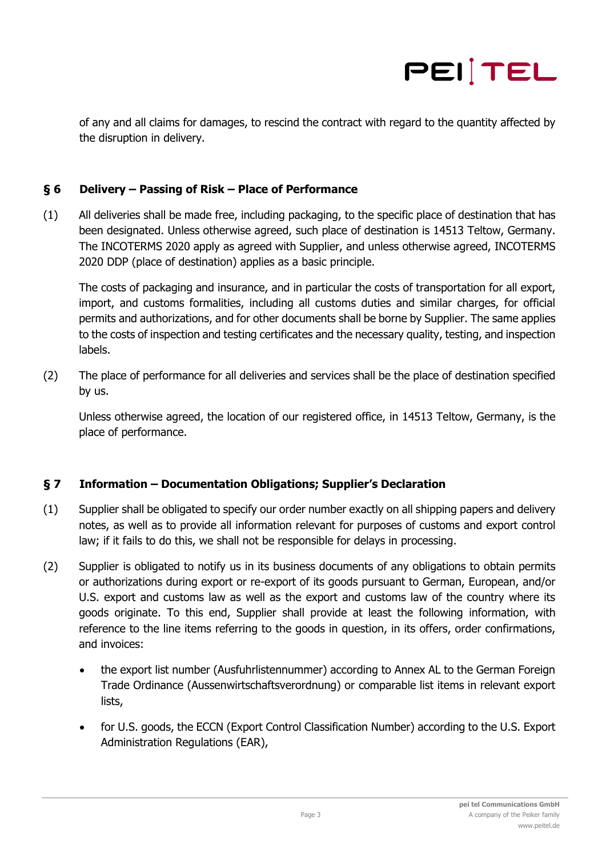

of any and all claims for damages, to rescind the contract with regard to the quantity affected by the disruption in delivery.

## **§ 6 Delivery – Passing of Risk – Place of Performance**

(1) All deliveries shall be made free, including packaging, to the specific place of destination that has been designated. Unless otherwise agreed, such place of destination is 14513 Teltow, Germany. The INCOTERMS 2020 apply as agreed with Supplier, and unless otherwise agreed, INCOTERMS 2020 DDP (place of destination) applies as a basic principle.

The costs of packaging and insurance, and in particular the costs of transportation for all export, import, and customs formalities, including all customs duties and similar charges, for official permits and authorizations, and for other documents shall be borne by Supplier. The same applies to the costs of inspection and testing certificates and the necessary quality, testing, and inspection labels.

(2) The place of performance for all deliveries and services shall be the place of destination specified by us.

Unless otherwise agreed, the location of our registered office, in 14513 Teltow, Germany, is the place of performance.

# **§ 7 Information – Documentation Obligations; Supplier's Declaration**

- (1) Supplier shall be obligated to specify our order number exactly on all shipping papers and delivery notes, as well as to provide all information relevant for purposes of customs and export control law; if it fails to do this, we shall not be responsible for delays in processing.
- (2) Supplier is obligated to notify us in its business documents of any obligations to obtain permits or authorizations during export or re-export of its goods pursuant to German, European, and/or U.S. export and customs law as well as the export and customs law of the country where its goods originate. To this end, Supplier shall provide at least the following information, with reference to the line items referring to the goods in question, in its offers, order confirmations, and invoices:
	- the export list number (Ausfuhrlistennummer) according to Annex AL to the German Foreign Trade Ordinance (Aussenwirtschaftsverordnung) or comparable list items in relevant export lists,
	- for U.S. goods, the ECCN (Export Control Classification Number) according to the U.S. Export Administration Regulations (EAR),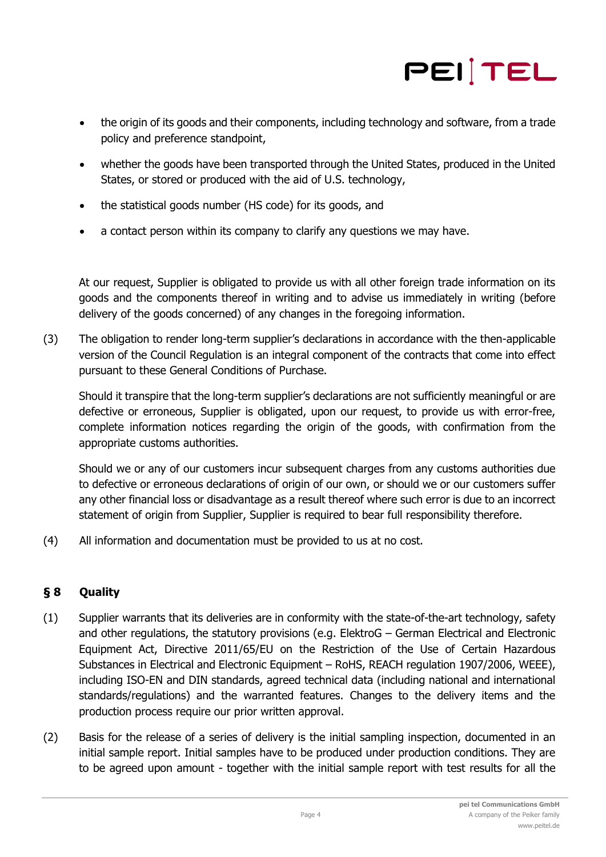

- the origin of its goods and their components, including technology and software, from a trade policy and preference standpoint,
- whether the goods have been transported through the United States, produced in the United States, or stored or produced with the aid of U.S. technology,
- the statistical goods number (HS code) for its goods, and
- a contact person within its company to clarify any questions we may have.

At our request, Supplier is obligated to provide us with all other foreign trade information on its goods and the components thereof in writing and to advise us immediately in writing (before delivery of the goods concerned) of any changes in the foregoing information.

(3) The obligation to render long-term supplier's declarations in accordance with the then-applicable version of the Council Regulation is an integral component of the contracts that come into effect pursuant to these General Conditions of Purchase.

Should it transpire that the long-term supplier's declarations are not sufficiently meaningful or are defective or erroneous, Supplier is obligated, upon our request, to provide us with error-free, complete information notices regarding the origin of the goods, with confirmation from the appropriate customs authorities.

Should we or any of our customers incur subsequent charges from any customs authorities due to defective or erroneous declarations of origin of our own, or should we or our customers suffer any other financial loss or disadvantage as a result thereof where such error is due to an incorrect statement of origin from Supplier, Supplier is required to bear full responsibility therefore.

(4) All information and documentation must be provided to us at no cost.

# **§ 8 Quality**

- (1) Supplier warrants that its deliveries are in conformity with the state-of-the-art technology, safety and other regulations, the statutory provisions (e.g. ElektroG – German Electrical and Electronic Equipment Act, Directive 2011/65/EU on the Restriction of the Use of Certain Hazardous Substances in Electrical and Electronic Equipment – RoHS, REACH regulation 1907/2006, WEEE), including ISO-EN and DIN standards, agreed technical data (including national and international standards/regulations) and the warranted features. Changes to the delivery items and the production process require our prior written approval.
- (2) Basis for the release of a series of delivery is the initial sampling inspection, documented in an initial sample report. Initial samples have to be produced under production conditions. They are to be agreed upon amount - together with the initial sample report with test results for all the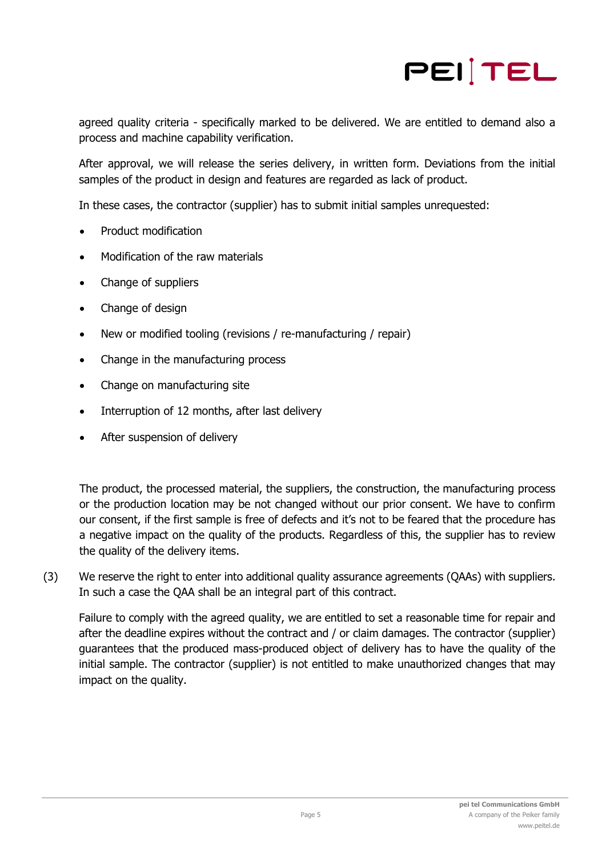

agreed quality criteria - specifically marked to be delivered. We are entitled to demand also a process and machine capability verification.

After approval, we will release the series delivery, in written form. Deviations from the initial samples of the product in design and features are regarded as lack of product.

In these cases, the contractor (supplier) has to submit initial samples unrequested:

- Product modification
- Modification of the raw materials
- Change of suppliers
- Change of design
- New or modified tooling (revisions / re-manufacturing / repair)
- Change in the manufacturing process
- Change on manufacturing site
- Interruption of 12 months, after last delivery
- After suspension of delivery

The product, the processed material, the suppliers, the construction, the manufacturing process or the production location may be not changed without our prior consent. We have to confirm our consent, if the first sample is free of defects and it's not to be feared that the procedure has a negative impact on the quality of the products. Regardless of this, the supplier has to review the quality of the delivery items.

(3) We reserve the right to enter into additional quality assurance agreements (QAAs) with suppliers. In such a case the QAA shall be an integral part of this contract.

Failure to comply with the agreed quality, we are entitled to set a reasonable time for repair and after the deadline expires without the contract and / or claim damages. The contractor (supplier) guarantees that the produced mass-produced object of delivery has to have the quality of the initial sample. The contractor (supplier) is not entitled to make unauthorized changes that may impact on the quality.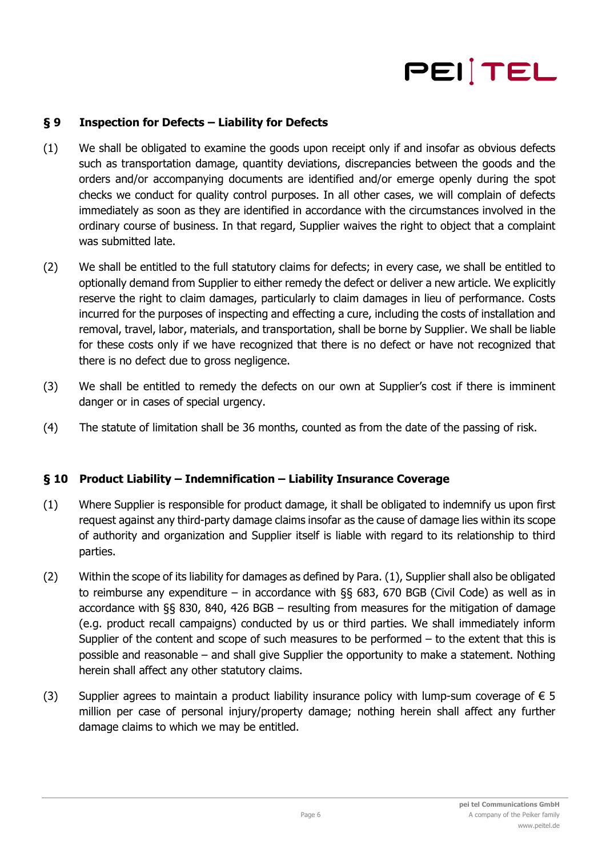

## **§ 9 Inspection for Defects – Liability for Defects**

- (1) We shall be obligated to examine the goods upon receipt only if and insofar as obvious defects such as transportation damage, quantity deviations, discrepancies between the goods and the orders and/or accompanying documents are identified and/or emerge openly during the spot checks we conduct for quality control purposes. In all other cases, we will complain of defects immediately as soon as they are identified in accordance with the circumstances involved in the ordinary course of business. In that regard, Supplier waives the right to object that a complaint was submitted late.
- (2) We shall be entitled to the full statutory claims for defects; in every case, we shall be entitled to optionally demand from Supplier to either remedy the defect or deliver a new article. We explicitly reserve the right to claim damages, particularly to claim damages in lieu of performance. Costs incurred for the purposes of inspecting and effecting a cure, including the costs of installation and removal, travel, labor, materials, and transportation, shall be borne by Supplier. We shall be liable for these costs only if we have recognized that there is no defect or have not recognized that there is no defect due to gross negligence.
- (3) We shall be entitled to remedy the defects on our own at Supplier's cost if there is imminent danger or in cases of special urgency.
- (4) The statute of limitation shall be 36 months, counted as from the date of the passing of risk.

### **§ 10 Product Liability – Indemnification – Liability Insurance Coverage**

- (1) Where Supplier is responsible for product damage, it shall be obligated to indemnify us upon first request against any third-party damage claims insofar as the cause of damage lies within its scope of authority and organization and Supplier itself is liable with regard to its relationship to third parties.
- (2) Within the scope of its liability for damages as defined by Para. (1), Supplier shall also be obligated to reimburse any expenditure – in accordance with §§ 683, 670 BGB (Civil Code) as well as in accordance with §§ 830, 840, 426 BGB – resulting from measures for the mitigation of damage (e.g. product recall campaigns) conducted by us or third parties. We shall immediately inform Supplier of the content and scope of such measures to be performed – to the extent that this is possible and reasonable – and shall give Supplier the opportunity to make a statement. Nothing herein shall affect any other statutory claims.
- (3) Supplier agrees to maintain a product liability insurance policy with lump-sum coverage of  $\epsilon$  5 million per case of personal injury/property damage; nothing herein shall affect any further damage claims to which we may be entitled.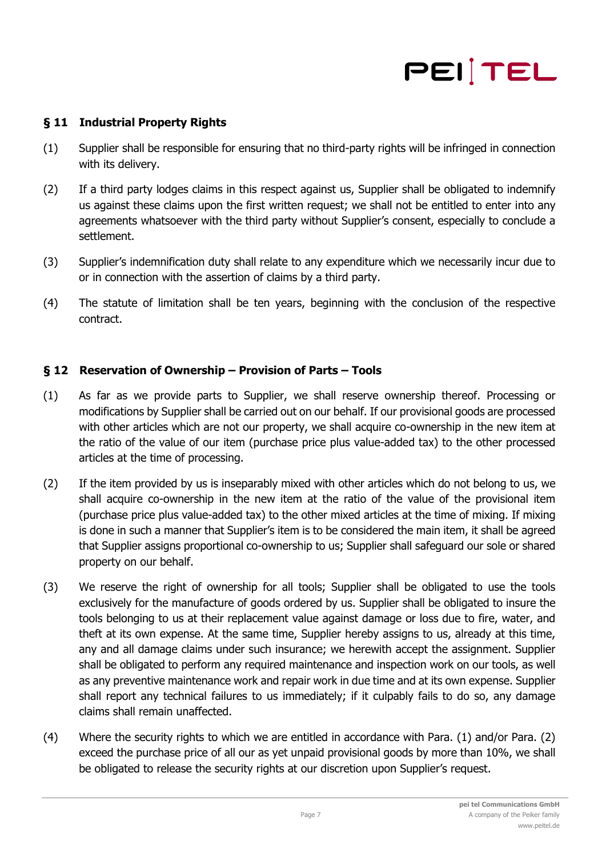# PEITEL

# **§ 11 Industrial Property Rights**

- (1) Supplier shall be responsible for ensuring that no third-party rights will be infringed in connection with its delivery.
- (2) If a third party lodges claims in this respect against us, Supplier shall be obligated to indemnify us against these claims upon the first written request; we shall not be entitled to enter into any agreements whatsoever with the third party without Supplier's consent, especially to conclude a settlement.
- (3) Supplier's indemnification duty shall relate to any expenditure which we necessarily incur due to or in connection with the assertion of claims by a third party.
- (4) The statute of limitation shall be ten years, beginning with the conclusion of the respective contract.

# **§ 12 Reservation of Ownership – Provision of Parts – Tools**

- (1) As far as we provide parts to Supplier, we shall reserve ownership thereof. Processing or modifications by Supplier shall be carried out on our behalf. If our provisional goods are processed with other articles which are not our property, we shall acquire co-ownership in the new item at the ratio of the value of our item (purchase price plus value-added tax) to the other processed articles at the time of processing.
- (2) If the item provided by us is inseparably mixed with other articles which do not belong to us, we shall acquire co-ownership in the new item at the ratio of the value of the provisional item (purchase price plus value-added tax) to the other mixed articles at the time of mixing. If mixing is done in such a manner that Supplier's item is to be considered the main item, it shall be agreed that Supplier assigns proportional co-ownership to us; Supplier shall safeguard our sole or shared property on our behalf.
- (3) We reserve the right of ownership for all tools; Supplier shall be obligated to use the tools exclusively for the manufacture of goods ordered by us. Supplier shall be obligated to insure the tools belonging to us at their replacement value against damage or loss due to fire, water, and theft at its own expense. At the same time, Supplier hereby assigns to us, already at this time, any and all damage claims under such insurance; we herewith accept the assignment. Supplier shall be obligated to perform any required maintenance and inspection work on our tools, as well as any preventive maintenance work and repair work in due time and at its own expense. Supplier shall report any technical failures to us immediately; if it culpably fails to do so, any damage claims shall remain unaffected.
- (4) Where the security rights to which we are entitled in accordance with Para. (1) and/or Para. (2) exceed the purchase price of all our as yet unpaid provisional goods by more than 10%, we shall be obligated to release the security rights at our discretion upon Supplier's request.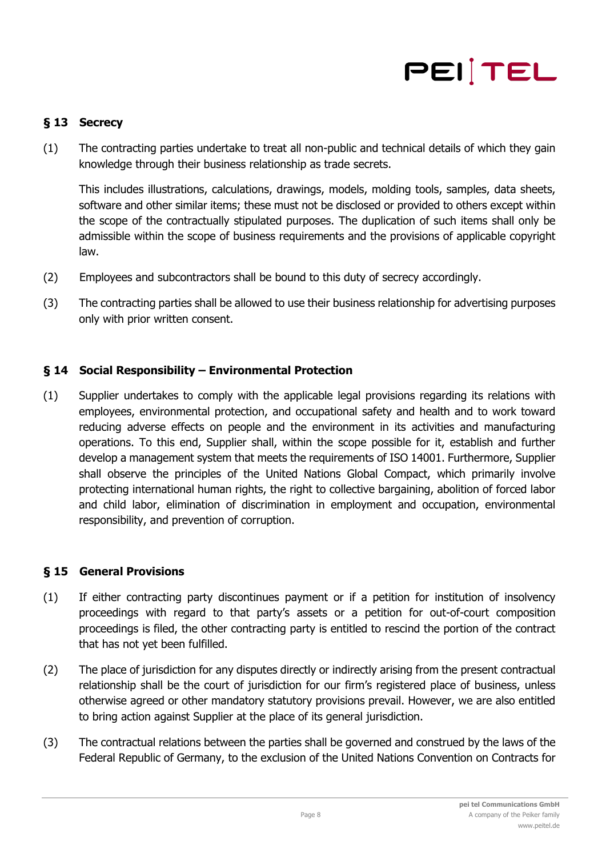

# **§ 13 Secrecy**

(1) The contracting parties undertake to treat all non-public and technical details of which they gain knowledge through their business relationship as trade secrets.

This includes illustrations, calculations, drawings, models, molding tools, samples, data sheets, software and other similar items; these must not be disclosed or provided to others except within the scope of the contractually stipulated purposes. The duplication of such items shall only be admissible within the scope of business requirements and the provisions of applicable copyright law.

- (2) Employees and subcontractors shall be bound to this duty of secrecy accordingly.
- (3) The contracting parties shall be allowed to use their business relationship for advertising purposes only with prior written consent.

## **§ 14 Social Responsibility – Environmental Protection**

(1) Supplier undertakes to comply with the applicable legal provisions regarding its relations with employees, environmental protection, and occupational safety and health and to work toward reducing adverse effects on people and the environment in its activities and manufacturing operations. To this end, Supplier shall, within the scope possible for it, establish and further develop a management system that meets the requirements of ISO 14001. Furthermore, Supplier shall observe the principles of the United Nations Global Compact, which primarily involve protecting international human rights, the right to collective bargaining, abolition of forced labor and child labor, elimination of discrimination in employment and occupation, environmental responsibility, and prevention of corruption.

### **§ 15 General Provisions**

- (1) If either contracting party discontinues payment or if a petition for institution of insolvency proceedings with regard to that party's assets or a petition for out-of-court composition proceedings is filed, the other contracting party is entitled to rescind the portion of the contract that has not yet been fulfilled.
- (2) The place of jurisdiction for any disputes directly or indirectly arising from the present contractual relationship shall be the court of jurisdiction for our firm's registered place of business, unless otherwise agreed or other mandatory statutory provisions prevail. However, we are also entitled to bring action against Supplier at the place of its general jurisdiction.
- (3) The contractual relations between the parties shall be governed and construed by the laws of the Federal Republic of Germany, to the exclusion of the United Nations Convention on Contracts for